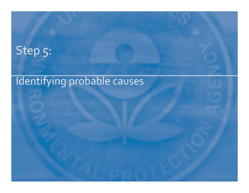# Step 5:

## Identifying probable causes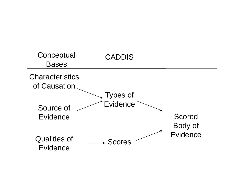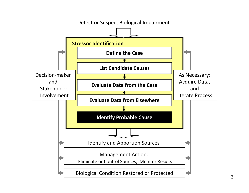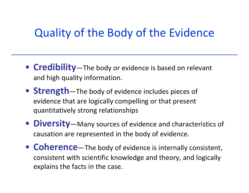### Quality of the Body of the Evidence

- **Credibility**—The body or evidence is based on relevant and high quality information.
- **Strength**—The body of evidence includes pieces of evidence that are logically compelling or that present quantitatively strong relationships
- **Diversity**—Many sources of evidence and characteristics of causation are represented in the body of evidence.
- **Coherence**—The body of evidence is internally consistent, consistent with scientific knowledge and theory, and logically explains the facts in the case.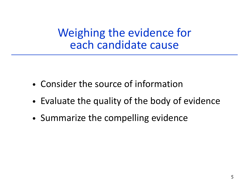Weighing the evidence for each candidate cause

- Consider the source of information
- •Evaluate the quality of the body of evidence
- •• Summarize the compelling evidence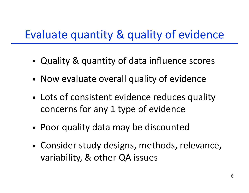# Evaluate quantity & quality of evidence

- •Quality & quantity of data influence scores
- Now evaluate overall quality of evidence
- • Lots of consistent evidence reduces quality concerns for any 1 type of evidence
- •Poor quality data may be discounted
- • Consider study designs, methods, relevance, variability, & other QA issues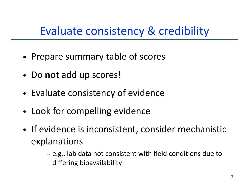# Evaluate consistency & credibility

- •Prepare summary table of scores
- Do **not** add up scores!
- •Evaluate consistency of evidence
- Look for compelling evidence
- •• If evidence is inconsistent, consider mechanistic explanations
	- e.g., lab data not consistent with field conditions due to differing bioavailability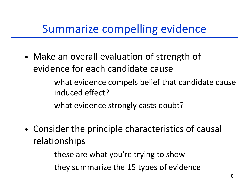# Summarize compelling evidence

- Make an overall evaluation of strength of evidence for each candidate cause
	- – what evidence compels belief that candidate cause induced effect?
	- –- what evidence strongly casts doubt?
- •• Consider the principle characteristics of causal relationships
	- –- these are what you're trying to show<br>- they summarize the 15 tynes of evide
	- they summarize the 15 types of evidence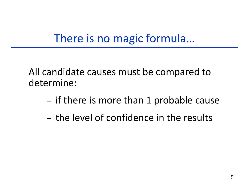## There is no magic formula...

All candidate causes must be compared to determine:

- if there is more than 1 probable cause
- the level of confidence in the results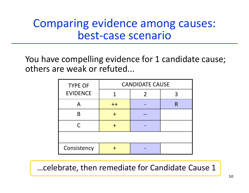#### Comparing evidence among causes: best‐case scenario

You have compelling evidence for 1 candidate cause; others are weak or refuted...

| <b>TYPE OF</b>  | <b>CANDIDATE CAUSE</b> |   |   |  |  |
|-----------------|------------------------|---|---|--|--|
| <b>EVIDENCE</b> |                        | 2 |   |  |  |
|                 | $++$                   |   | R |  |  |
| R               |                        |   |   |  |  |
|                 |                        |   |   |  |  |
|                 |                        |   |   |  |  |
| Consistency     |                        |   |   |  |  |

…celebrate, then remediate for Candidate Cause 1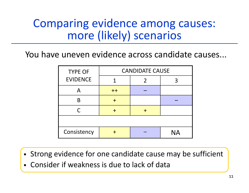### Comparing evidence among causes: more (likely) scenarios

You have uneven evidence across candidate causes...

| <b>TYPE OF</b>  | <b>CANDIDATE CAUSE</b> |   |           |  |  |
|-----------------|------------------------|---|-----------|--|--|
| <b>EVIDENCE</b> |                        | 2 |           |  |  |
|                 | $++$                   |   |           |  |  |
| B               |                        |   |           |  |  |
| $\subset$       |                        |   |           |  |  |
|                 |                        |   |           |  |  |
| Consistency     |                        |   | <b>NA</b> |  |  |

- Strong evidence for one candidate cause may be sufficient
- $\bullet$ Consider if weakness is due to lack of data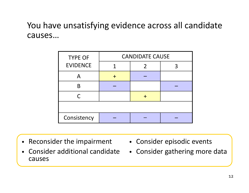#### You have unsatisfying evidence across all candidate causes…

| <b>TYPE OF</b>  | <b>CANDIDATE CAUSE</b> |  |  |  |
|-----------------|------------------------|--|--|--|
| <b>EVIDENCE</b> |                        |  |  |  |
|                 |                        |  |  |  |
|                 |                        |  |  |  |
| ⊂               |                        |  |  |  |
|                 |                        |  |  |  |
| Consistency     |                        |  |  |  |

- Reconsider the impairment
- $\bullet$  Consider additional candidate causes
- Consider episodic events
- Consider gathering more data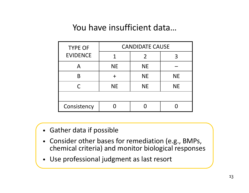#### You have insufficient data…

| <b>TYPE OF</b>  | <b>CANDIDATE CAUSE</b> |           |           |  |  |
|-----------------|------------------------|-----------|-----------|--|--|
| <b>EVIDENCE</b> |                        | 2         | 3         |  |  |
|                 | <b>NE</b>              | <b>NE</b> |           |  |  |
| B               |                        | <b>NE</b> | <b>NE</b> |  |  |
|                 | <b>NE</b>              | <b>NE</b> | <b>NE</b> |  |  |
|                 |                        |           |           |  |  |
| Consistency     |                        |           |           |  |  |

- Gather data if possible
- Consider other bases for remediation (e.g., BMPs, chemical criteria) and monitor biological responses
- Use professional judgment as last resort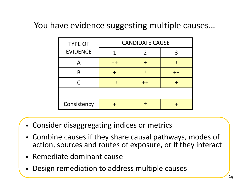#### You have evidence suggesting multiple causes…

| <b>TYPE OF</b>  | <b>CANDIDATE CAUSE</b> |      |      |  |  |
|-----------------|------------------------|------|------|--|--|
| <b>EVIDENCE</b> |                        | 2    |      |  |  |
|                 | $++$                   |      |      |  |  |
|                 |                        |      | $++$ |  |  |
| $\subset$       | $++$                   | $++$ |      |  |  |
|                 |                        |      |      |  |  |
| Consistency     |                        |      |      |  |  |

- Consider disaggregating indices or metrics
- Combine causes if they share causal pathways, modes of action, sources and routes of exposure, or if they interact
- •Remediate dominant cause
- •Design remediation to address multiple causes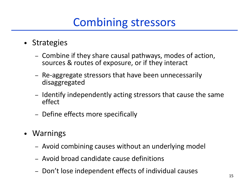# Combining stressors

- Strategies
	- –- Combine if they share causal pathways, modes of action, sources & routes of exposure, or if they interact
	- –– Re-aggregate stressors that have been unnecessarily disaggregated
	- – $-$  Identify independently acting stressors that cause the same effect
	- –– Define effects more specifically
- $\bullet$  Warnings
	- Avoid combining causes without an underlying model
	- Avoid broad candidate cause definitions
	- –– Don't lose independent effects of individual causes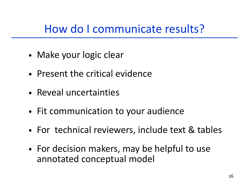# How do I communicate results?

- •Make your logic clear
- Present the critical evidence
- Reveal uncertainties
- Fit communication to your audience
- •For technical reviewers, include text & tables
- For decision makers, may be helpful to use annotated conceptual model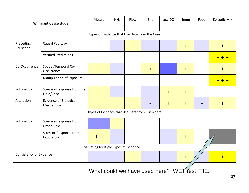|                                               | <b>Willimantic case study</b>                | Metals                                         | NH <sub>3</sub> | Flow                     | Silt  | Low DO | Temp | Food | Episodic Mix |
|-----------------------------------------------|----------------------------------------------|------------------------------------------------|-----------------|--------------------------|-------|--------|------|------|--------------|
| Types of Evidence that Use Data from the Case |                                              |                                                |                 |                          |       |        |      |      |              |
| Preceding<br>Causation                        | Causal Pathway                               |                                                |                 | $+$                      |       |        | $+$  |      | $+$          |
|                                               | <b>Verified Predictions</b>                  |                                                |                 |                          |       |        |      |      | $++$         |
| Co-Occurrence                                 | Spatial/Temporal Co-<br>Occurrence           | $+$                                            |                 |                          | $\pm$ |        | $+$  |      | $+$          |
|                                               | Manipulation of Exposure                     |                                                |                 |                          |       |        |      |      | + + +        |
| Sufficiency                                   | Stressor-Response from the<br>Field/Case     | $+$                                            |                 |                          |       | $+$    | $+$  |      |              |
| Alteration                                    | <b>Evidence of Biological</b><br>Mechanism   | $+$                                            | $+$             | $\overline{\phantom{a}}$ |       | $+$    | $+$  |      | $+$          |
|                                               |                                              | Types of Evidence that Use Data from Elsewhere |                 |                          |       |        |      |      |              |
| Sufficiency                                   | Stressor-Response from<br><b>Other Field</b> |                                                | $+$             |                          |       |        |      |      |              |
|                                               | Stressor-Response from<br>Laboratory         | $+ +$                                          |                 |                          |       |        | $+$  |      |              |
| <b>Evaluating Multiple Types of Evidence</b>  |                                              |                                                |                 |                          |       |        |      |      |              |
| Consistency of Evidence                       |                                              |                                                |                 | $+$                      |       |        | $+$  |      | + + +        |
| What could we have used here? WET Yest. TIE.  |                                              |                                                |                 |                          |       |        |      |      |              |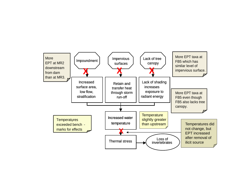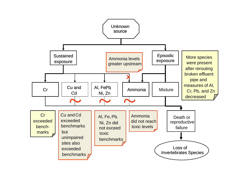